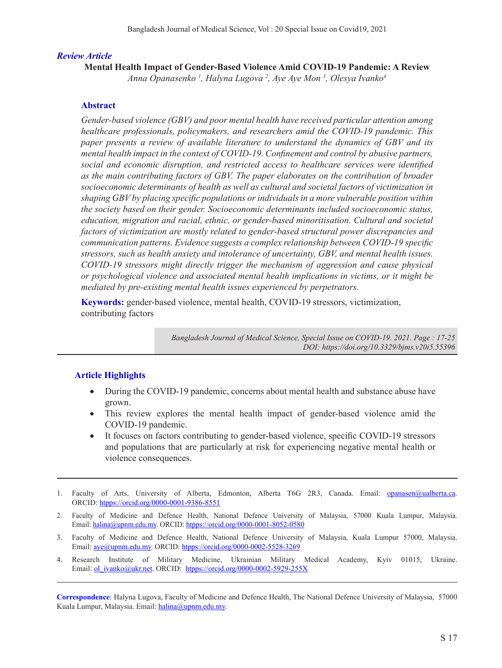### *Review Article*

**Mental Health Impact of Gender-Based Violence Amid COVID-19 Pandemic: A Review** *Anna Opanasenko 1 , Halyna Lugova 2 , Aye Aye Mon 3 , Olesya Ivanko4*

### **Abstract**

*Gender-based violence (GBV) and poor mental health have received particular attention among healthcare professionals, policymakers, and researchers amid the COVID-19 pandemic. This paper presents a review of available literature to understand the dynamics of GBV and its mental health impact in the context of COVID-19. Confinement and control by abusive partners, social and economic disruption, and restricted access to healthcare services were identified as the main contributing factors of GBV. The paper elaborates on the contribution of broader socioeconomic determinants of health as well as cultural and societal factors of victimization in shaping GBV by placing specific populations or individuals in a more vulnerable position within the society based on their gender. Socioeconomic determinants included socioeconomic status, education, migration and racial, ethnic, or gender-based minoritisation. Cultural and societal factors of victimization are mostly related to gender-based structural power discrepancies and communication patterns. Evidence suggests a complex relationship between COVID-19 specific stressors, such as health anxiety and intolerance of uncertainty, GBV, and mental health issues. COVID-19 stressors might directly trigger the mechanism of aggression and cause physical or psychological violence and associated mental health implications in victims, or it might be mediated by pre-existing mental health issues experienced by perpetrators.* 

**Keywords:** gender-based violence, mental health, COVID-19 stressors, victimization, contributing factors

> *Bangladesh Journal of Medical Science, Special Issue on COVID-19. 2021. Page : 17-25 DOI: https://doi.org/10.3329/bjms.v20i5.55396*

### **Article Highlights**

- During the COVID-19 pandemic, concerns about mental health and substance abuse have grown.
- This review explores the mental health impact of gender-based violence amid the COVID-19 pandemic.
- It focuses on factors contributing to gender-based violence, specific COVID-19 stressors and populations that are particularly at risk for experiencing negative mental health or violence consequences.
- 1. Faculty of Arts, University of Alberta, Edmonton, Alberta T6G 2R3, Canada. Email: opanasen@ualberta.ca. ORCID: htpps://orcid.org/0000-0001-9386-8551
- 2. Faculty of Medicine and Defence Health, National Defence University of Malaysia, 57000 Kuala Lumpur, Malaysia. Email: halina@upnm.edu.my. ORCID: htpps://orcid.org/0000-0001-8052-0580
- 3. Faculty of Medicine and Defence Health, National Defence University of Malaysia, Kuala Lumpur 57000, Malaysia. Email: aye@upnm.edu.my. ORCID: htpps://orcid.org/0000-0002-5528-3269
- 4. Research Institute of Military Medicine, Ukrainian Military Medical Academy, Kyiv 01015, Ukraine. Email: ol\_ivanko@ukr.net. ORCID: htpps://orcid.org/0000-0002-5929-255X

**Correspondence**: Halyna Lugova, Faculty of Medicine and Defence Health, The National Defence University of Malaysia, 57000 Kuala Lumpur, Malaysia. Email: halina@upnm.edu.my.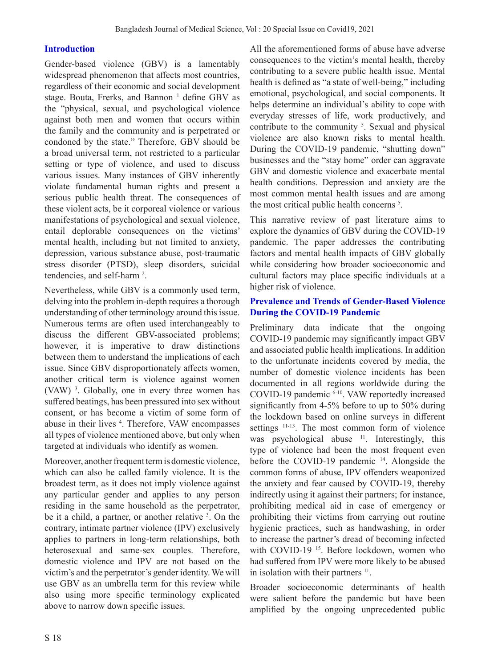## **Introduction**

Gender-based violence (GBV) is a lamentably widespread phenomenon that affects most countries, regardless of their economic and social development stage. Bouta, Frerks, and Bannon<sup>1</sup> define GBV as the "physical, sexual, and psychological violence against both men and women that occurs within the family and the community and is perpetrated or condoned by the state." Therefore, GBV should be a broad universal term, not restricted to a particular setting or type of violence, and used to discuss various issues. Many instances of GBV inherently violate fundamental human rights and present a serious public health threat. The consequences of these violent acts, be it corporeal violence or various manifestations of psychological and sexual violence, entail deplorable consequences on the victims' mental health, including but not limited to anxiety, depression, various substance abuse, post-traumatic stress disorder (PTSD), sleep disorders, suicidal tendencies, and self-harm<sup>2</sup>.

Nevertheless, while GBV is a commonly used term, delving into the problem in-depth requires a thorough understanding of other terminology around this issue. Numerous terms are often used interchangeably to discuss the different GBV-associated problems; however, it is imperative to draw distinctions between them to understand the implications of each issue. Since GBV disproportionately affects women, another critical term is violence against women (VAW) 3 . Globally, one in every three women has suffered beatings, has been pressured into sex without consent, or has become a victim of some form of abuse in their lives <sup>4</sup>. Therefore, VAW encompasses all types of violence mentioned above, but only when targeted at individuals who identify as women.

Moreover, another frequent term is domestic violence, which can also be called family violence. It is the broadest term, as it does not imply violence against any particular gender and applies to any person residing in the same household as the perpetrator, be it a child, a partner, or another relative <sup>3</sup>. On the contrary, intimate partner violence (IPV) exclusively applies to partners in long-term relationships, both heterosexual and same-sex couples. Therefore, domestic violence and IPV are not based on the victim's and the perpetrator's gender identity. We will use GBV as an umbrella term for this review while also using more specific terminology explicated above to narrow down specific issues.

All the aforementioned forms of abuse have adverse consequences to the victim's mental health, thereby contributing to a severe public health issue. Mental health is defined as "a state of well-being," including emotional, psychological, and social components. It helps determine an individual's ability to cope with everyday stresses of life, work productively, and contribute to the community  $5$ . Sexual and physical violence are also known risks to mental health. During the COVID-19 pandemic, "shutting down" businesses and the "stay home" order can aggravate GBV and domestic violence and exacerbate mental health conditions. Depression and anxiety are the most common mental health issues and are among the most critical public health concerns<sup>5</sup>.

This narrative review of past literature aims to explore the dynamics of GBV during the COVID-19 pandemic. The paper addresses the contributing factors and mental health impacts of GBV globally while considering how broader socioeconomic and cultural factors may place specific individuals at a higher risk of violence.

## **Prevalence and Trends of Gender-Based Violence During the COVID-19 Pandemic**

Preliminary data indicate that the ongoing COVID-19 pandemic may significantly impact GBV and associated public health implications. In addition to the unfortunate incidents covered by media, the number of domestic violence incidents has been documented in all regions worldwide during the COVID-19 pandemic 6-10. VAW reportedly increased significantly from 4-5% before to up to 50% during the lockdown based on online surveys in different settings 11-13. The most common form of violence was psychological abuse <sup>11</sup>. Interestingly, this type of violence had been the most frequent even before the COVID-19 pandemic 14. Alongside the common forms of abuse, IPV offenders weaponized the anxiety and fear caused by COVID-19, thereby indirectly using it against their partners; for instance, prohibiting medical aid in case of emergency or prohibiting their victims from carrying out routine hygienic practices, such as handwashing, in order to increase the partner's dread of becoming infected with COVID-19<sup>15</sup>. Before lockdown, women who had suffered from IPV were more likely to be abused in isolation with their partners  $11$ .

Broader socioeconomic determinants of health were salient before the pandemic but have been amplified by the ongoing unprecedented public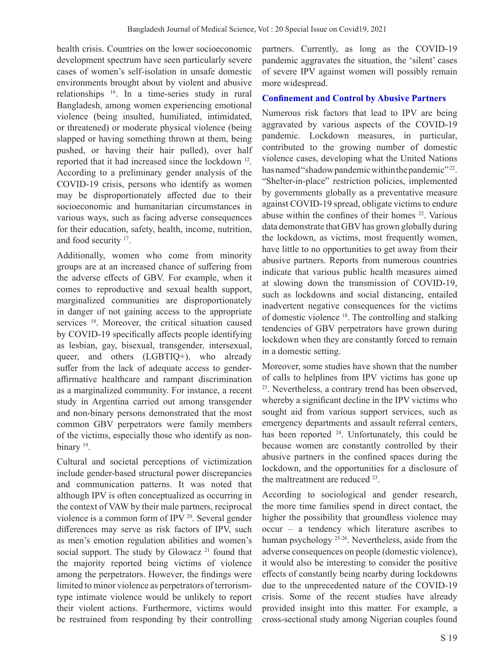health crisis. Countries on the lower socioeconomic development spectrum have seen particularly severe cases of women's self-isolation in unsafe domestic environments brought about by violent and abusive relationships 16. In a time-series study in rural Bangladesh, among women experiencing emotional violence (being insulted, humiliated, intimidated, or threatened) or moderate physical violence (being slapped or having something thrown at them, being pushed, or having their hair pulled), over half reported that it had increased since the lockdown 12. According to a preliminary gender analysis of the COVID-19 crisis, persons who identify as women may be disproportionately affected due to their socioeconomic and humanitarian circumstances in various ways, such as facing adverse consequences for their education, safety, health, income, nutrition, and food security 17.

Additionally, women who come from minority groups are at an increased chance of suffering from the adverse effects of GBV. For example, when it comes to reproductive and sexual health support, marginalized communities are disproportionately in danger of not gaining access to the appropriate services <sup>18</sup>. Moreover, the critical situation caused by COVID-19 specifically affects people identifying as lesbian, gay, bisexual, transgender, intersexual, queer, and others (LGBTIQ+), who already suffer from the lack of adequate access to genderaffirmative healthcare and rampant discrimination as a marginalized community. For instance, a recent study in Argentina carried out among transgender and non-binary persons demonstrated that the most common GBV perpetrators were family members of the victims, especially those who identify as nonbinary <sup>19</sup>.

Cultural and societal perceptions of victimization include gender-based structural power discrepancies and communication patterns. It was noted that although IPV is often conceptualized as occurring in the context of VAW by their male partners, reciprocal violence is a common form of IPV 20. Several gender differences may serve as risk factors of IPV, such as men's emotion regulation abilities and women's social support. The study by Glowacz<sup>21</sup> found that the majority reported being victims of violence among the perpetrators. However, the findings were limited to minor violence as perpetrators of terrorismtype intimate violence would be unlikely to report their violent actions. Furthermore, victims would be restrained from responding by their controlling

partners. Currently, as long as the COVID-19 pandemic aggravates the situation, the 'silent' cases of severe IPV against women will possibly remain more widespread.

## **Confinement and Control by Abusive Partners**

Numerous risk factors that lead to IPV are being aggravated by various aspects of the COVID-19 pandemic. Lockdown measures, in particular, contributed to the growing number of domestic violence cases, developing what the United Nations has named "shadow pandemic within the pandemic" <sup>22</sup>. "Shelter-in-place" restriction policies, implemented by governments globally as a preventative measure against COVID-19 spread, obligate victims to endure abuse within the confines of their homes 22. Various data demonstrate that GBV has grown globally during the lockdown, as victims, most frequently women, have little to no opportunities to get away from their abusive partners. Reports from numerous countries indicate that various public health measures aimed at slowing down the transmission of COVID-19, such as lockdowns and social distancing, entailed inadvertent negative consequences for the victims of domestic violence 18. The controlling and stalking tendencies of GBV perpetrators have grown during lockdown when they are constantly forced to remain in a domestic setting.

Moreover, some studies have shown that the number of calls to helplines from IPV victims has gone up 23. Nevertheless, a contrary trend has been observed, whereby a significant decline in the IPV victims who sought aid from various support services, such as emergency departments and assault referral centers, has been reported <sup>24</sup>. Unfortunately, this could be because women are constantly controlled by their abusive partners in the confined spaces during the lockdown, and the opportunities for a disclosure of the maltreatment are reduced 23.

According to sociological and gender research, the more time families spend in direct contact, the higher the possibility that groundless violence may occur – a tendency which literature ascribes to human psychology 25-26. Nevertheless, aside from the adverse consequences on people (domestic violence), it would also be interesting to consider the positive effects of constantly being nearby during lockdowns due to the unprecedented nature of the COVID-19 crisis. Some of the recent studies have already provided insight into this matter. For example, a cross-sectional study among Nigerian couples found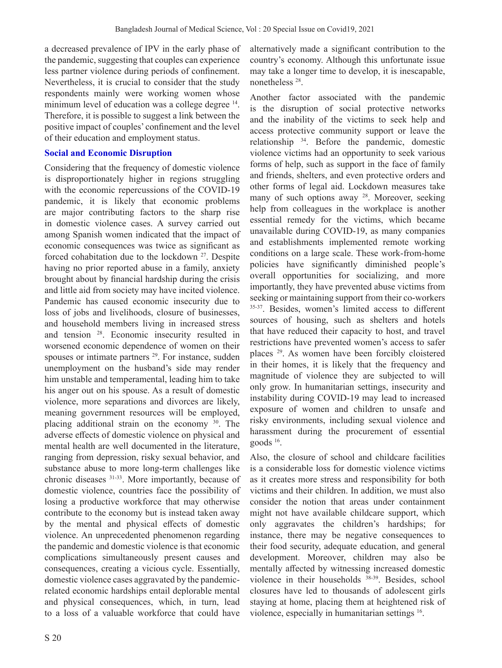a decreased prevalence of IPV in the early phase of the pandemic, suggesting that couples can experience less partner violence during periods of confinement. Nevertheless, it is crucial to consider that the study respondents mainly were working women whose minimum level of education was a college degree <sup>14</sup>. Therefore, it is possible to suggest a link between the positive impact of couples' confinement and the level of their education and employment status.

### **Social and Economic Disruption**

Considering that the frequency of domestic violence is disproportionately higher in regions struggling with the economic repercussions of the COVID-19 pandemic, it is likely that economic problems are major contributing factors to the sharp rise in domestic violence cases. A survey carried out among Spanish women indicated that the impact of economic consequences was twice as significant as forced cohabitation due to the lockdown <sup>27</sup>. Despite having no prior reported abuse in a family, anxiety brought about by financial hardship during the crisis and little aid from society may have incited violence. Pandemic has caused economic insecurity due to loss of jobs and livelihoods, closure of businesses, and household members living in increased stress and tension 28. Economic insecurity resulted in worsened economic dependence of women on their spouses or intimate partners<sup>29</sup>. For instance, sudden unemployment on the husband's side may render him unstable and temperamental, leading him to take his anger out on his spouse. As a result of domestic violence, more separations and divorces are likely, meaning government resources will be employed, placing additional strain on the economy 30. The adverse effects of domestic violence on physical and mental health are well documented in the literature, ranging from depression, risky sexual behavior, and substance abuse to more long-term challenges like chronic diseases 31-33. More importantly, because of domestic violence, countries face the possibility of losing a productive workforce that may otherwise contribute to the economy but is instead taken away by the mental and physical effects of domestic violence. An unprecedented phenomenon regarding the pandemic and domestic violence is that economic complications simultaneously present causes and consequences, creating a vicious cycle. Essentially, domestic violence cases aggravated by the pandemicrelated economic hardships entail deplorable mental and physical consequences, which, in turn, lead to a loss of a valuable workforce that could have

S 20

alternatively made a significant contribution to the country's economy. Although this unfortunate issue may take a longer time to develop, it is inescapable, nonetheless 28.

Another factor associated with the pandemic is the disruption of social protective networks and the inability of the victims to seek help and access protective community support or leave the relationship 34. Before the pandemic, domestic violence victims had an opportunity to seek various forms of help, such as support in the face of family and friends, shelters, and even protective orders and other forms of legal aid. Lockdown measures take many of such options away <sup>28</sup>. Moreover, seeking help from colleagues in the workplace is another essential remedy for the victims, which became unavailable during COVID-19, as many companies and establishments implemented remote working conditions on a large scale. These work-from-home policies have significantly diminished people's overall opportunities for socializing, and more importantly, they have prevented abuse victims from seeking or maintaining support from their co-workers 35-37. Besides, women's limited access to different sources of housing, such as shelters and hotels that have reduced their capacity to host, and travel restrictions have prevented women's access to safer places 29. As women have been forcibly cloistered in their homes, it is likely that the frequency and magnitude of violence they are subjected to will only grow. In humanitarian settings, insecurity and instability during COVID-19 may lead to increased exposure of women and children to unsafe and risky environments, including sexual violence and harassment during the procurement of essential goods 16.

Also, the closure of school and childcare facilities is a considerable loss for domestic violence victims as it creates more stress and responsibility for both victims and their children. In addition, we must also consider the notion that areas under containment might not have available childcare support, which only aggravates the children's hardships; for instance, there may be negative consequences to their food security, adequate education, and general development. Moreover, children may also be mentally affected by witnessing increased domestic violence in their households 38-39. Besides, school closures have led to thousands of adolescent girls staying at home, placing them at heightened risk of violence, especially in humanitarian settings 16.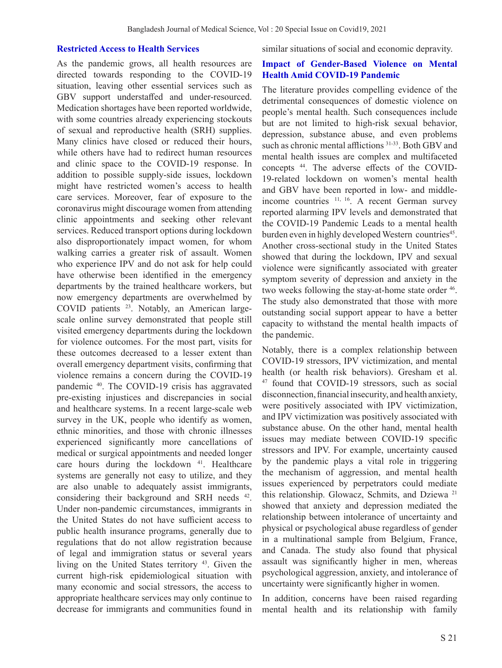### **Restricted Access to Health Services**

As the pandemic grows, all health resources are directed towards responding to the COVID-19 situation, leaving other essential services such as GBV support understaffed and under-resourced. Medication shortages have been reported worldwide, with some countries already experiencing stockouts of sexual and reproductive health (SRH) supplies. Many clinics have closed or reduced their hours, while others have had to redirect human resources and clinic space to the COVID-19 response. In addition to possible supply-side issues, lockdown might have restricted women's access to health care services. Moreover, fear of exposure to the coronavirus might discourage women from attending clinic appointments and seeking other relevant services. Reduced transport options during lockdown also disproportionately impact women, for whom walking carries a greater risk of assault. Women who experience IPV and do not ask for help could have otherwise been identified in the emergency departments by the trained healthcare workers, but now emergency departments are overwhelmed by COVID patients 23. Notably, an American largescale online survey demonstrated that people still visited emergency departments during the lockdown for violence outcomes. For the most part, visits for these outcomes decreased to a lesser extent than overall emergency department visits, confirming that violence remains a concern during the COVID-19 pandemic 40. The COVID-19 crisis has aggravated pre-existing injustices and discrepancies in social and healthcare systems. In a recent large-scale web survey in the UK, people who identify as women, ethnic minorities, and those with chronic illnesses experienced significantly more cancellations of medical or surgical appointments and needed longer care hours during the lockdown <sup>41</sup>. Healthcare systems are generally not easy to utilize, and they are also unable to adequately assist immigrants, considering their background and SRH needs <sup>42</sup>. Under non-pandemic circumstances, immigrants in the United States do not have sufficient access to public health insurance programs, generally due to regulations that do not allow registration because of legal and immigration status or several years living on the United States territory 43. Given the current high-risk epidemiological situation with many economic and social stressors, the access to appropriate healthcare services may only continue to decrease for immigrants and communities found in similar situations of social and economic depravity.

### **Impact of Gender-Based Violence on Mental Health Amid COVID-19 Pandemic**

The literature provides compelling evidence of the detrimental consequences of domestic violence on people's mental health. Such consequences include but are not limited to high-risk sexual behavior, depression, substance abuse, and even problems such as chronic mental afflictions  $31-33$ . Both GBV and mental health issues are complex and multifaceted concepts 44. The adverse effects of the COVID-19-related lockdown on women's mental health and GBV have been reported in low- and middleincome countries <sup>11, 16</sup>. A recent German survey reported alarming IPV levels and demonstrated that the COVID-19 Pandemic Leads to a mental health burden even in highly developed Western countries<sup>45</sup>. Another cross-sectional study in the United States showed that during the lockdown, IPV and sexual violence were significantly associated with greater symptom severity of depression and anxiety in the two weeks following the stay-at-home state order  $46$ . The study also demonstrated that those with more outstanding social support appear to have a better capacity to withstand the mental health impacts of the pandemic.

Notably, there is a complex relationship between COVID-19 stressors, IPV victimization, and mental health (or health risk behaviors). Gresham et al. 47 found that COVID-19 stressors, such as social disconnection, financial insecurity, and health anxiety, were positively associated with IPV victimization, and IPV victimization was positively associated with substance abuse. On the other hand, mental health issues may mediate between COVID-19 specific stressors and IPV. For example, uncertainty caused by the pandemic plays a vital role in triggering the mechanism of aggression, and mental health issues experienced by perpetrators could mediate this relationship. Glowacz, Schmits, and Dziewa 21 showed that anxiety and depression mediated the relationship between intolerance of uncertainty and physical or psychological abuse regardless of gender in a multinational sample from Belgium, France, and Canada. The study also found that physical assault was significantly higher in men, whereas psychological aggression, anxiety, and intolerance of uncertainty were significantly higher in women.

In addition, concerns have been raised regarding mental health and its relationship with family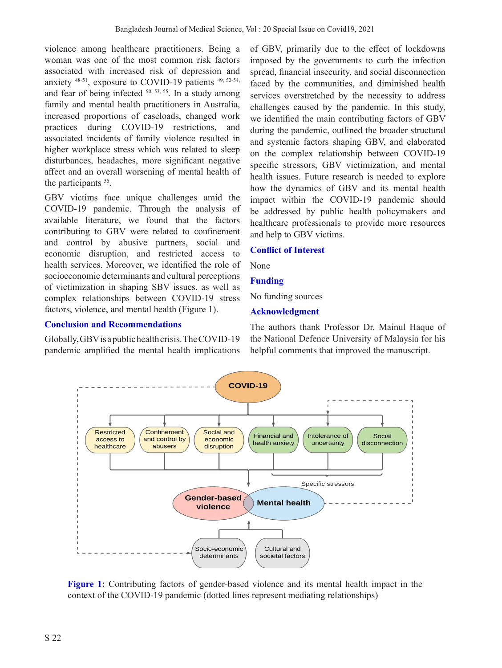violence among healthcare practitioners. Being a woman was one of the most common risk factors associated with increased risk of depression and anxiety 48-51, exposure to COVID-19 patients 49, 52-54, and fear of being infected 50, 53, 55. In a study among family and mental health practitioners in Australia, increased proportions of caseloads, changed work practices during COVID-19 restrictions, and associated incidents of family violence resulted in higher workplace stress which was related to sleep disturbances, headaches, more significant negative affect and an overall worsening of mental health of the participants <sup>56</sup>.

GBV victims face unique challenges amid the COVID-19 pandemic. Through the analysis of available literature, we found that the factors contributing to GBV were related to confinement and control by abusive partners, social and economic disruption, and restricted access to health services. Moreover, we identified the role of socioeconomic determinants and cultural perceptions of victimization in shaping SBV issues, as well as complex relationships between COVID-19 stress factors, violence, and mental health (Figure 1).

# **Conclusion and Recommendations**

Globally, GBV is a public health crisis. The COVID-19 pandemic amplified the mental health implications of GBV, primarily due to the effect of lockdowns imposed by the governments to curb the infection spread, financial insecurity, and social disconnection faced by the communities, and diminished health services overstretched by the necessity to address challenges caused by the pandemic. In this study, we identified the main contributing factors of GBV during the pandemic, outlined the broader structural and systemic factors shaping GBV, and elaborated on the complex relationship between COVID-19 specific stressors, GBV victimization, and mental health issues. Future research is needed to explore how the dynamics of GBV and its mental health impact within the COVID-19 pandemic should be addressed by public health policymakers and healthcare professionals to provide more resources and help to GBV victims.

## **Conflict of Interest**

None

## **Funding**

No funding sources

## **Acknowledgment**

The authors thank Professor Dr. Mainul Haque of the National Defence University of Malaysia for his helpful comments that improved the manuscript.



Figure 1: Contributing factors of gender-based violence and its mental health impact in the context of the COVID-19 pandemic (dotted lines represent mediating relationships)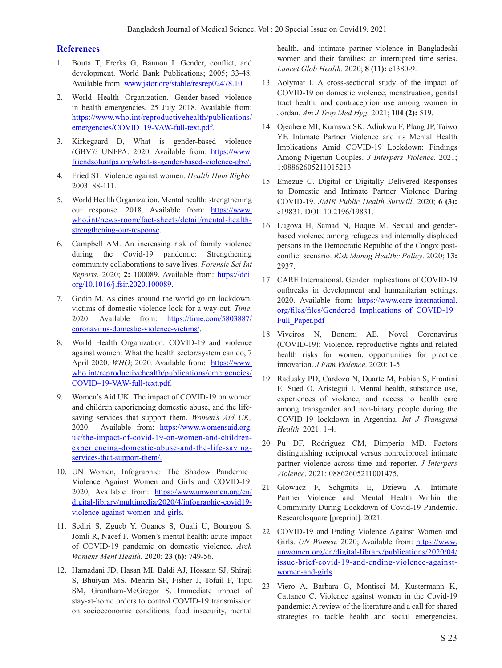#### **References**

- 1. Bouta T, Frerks G, Bannon I. Gender, conflict, and development. World Bank Publications; 2005; 33-48. Available from: www.jstor.org/stable/resrep02478.10.
- 2. World Health Organization. Gender-based violence in health emergencies, 25 July 2018. Available from: https://www.who.int/reproductivehealth/publications/ emergencies/COVID–19-VAW-full-text.pdf.
- 3. Kirkegaard D, What is gender-based violence (GBV)? UNFPA. 2020. Available from: https://www. friendsofunfpa.org/what-is-gender-based-violence-gbv/.
- 4. Fried ST. Violence against women. *Health Hum Rights*. 2003: 88-111.
- 5. World Health Organization. Mental health: strengthening our response. 2018. Available from: https://www. who.int/news-room/fact-sheets/detail/mental-healthstrengthening-our-response.
- 6. Campbell AM. An increasing risk of family violence during the Covid-19 pandemic: Strengthening community collaborations to save lives. *Forensic Sci Int Reports*. 2020; **2:** 100089. Available from: https://doi. org/10.1016/j.fsir.2020.100089.
- 7. Godin M. As cities around the world go on lockdown, victims of domestic violence look for a way out. *Time*. 2020. Available from: https://time.com/5803887/ coronavirus-domestic-violence-victims/.
- 8. World Health Organization. COVID-19 and violence against women: What the health sector/system can do, 7 April 2020. *WHO*; 2020. Available from: https://www. who.int/reproductivehealth/publications/emergencies/ COVID–19-VAW-full-text.pdf.
- 9. Women's Aid UK. The impact of COVID-19 on women and children experiencing domestic abuse, and the lifesaving services that support them. *Women's Aid UK;*  2020. Available from: https://www.womensaid.org. uk/the-impact-of-covid-19-on-women-and-childrenexperiencing-domestic-abuse-and-the-life-savingservices-that-support-them/.
- 10. UN Women, Infographic: The Shadow Pandemic– Violence Against Women and Girls and COVID-19. 2020, Available from: https://www.unwomen.org/en/ digital-library/multimedia/2020/4/infographic-covid19 violence-against-women-and-girls.
- 11. Sediri S, Zgueb Y, Ouanes S, Ouali U, Bourgou S, Jomli R, Nacef F. Women's mental health: acute impact of COVID-19 pandemic on domestic violence. *Arch Womens Ment Health*. 2020; **23 (6):** 749-56.
- 12. Hamadani JD, Hasan MI, Baldi AJ, Hossain SJ, Shiraji S, Bhuiyan MS, Mehrin SF, Fisher J, Tofail F, Tipu SM, Grantham-McGregor S. Immediate impact of stay-at-home orders to control COVID-19 transmission on socioeconomic conditions, food insecurity, mental

health, and intimate partner violence in Bangladeshi women and their families: an interrupted time series. *Lancet Glob Health*. 2020; **8 (11):** e1380-9.

- 13. Aolymat I. A cross-sectional study of the impact of COVID-19 on domestic violence, menstruation, genital tract health, and contraception use among women in Jordan. *Am J Trop Med Hyg.* 2021; **104 (2):** 519.
- 14. Ojeahere MI, Kumswa SK, Adiukwu F, Plang JP, Taiwo YF. Intimate Partner Violence and its Mental Health Implications Amid COVID-19 Lockdown: Findings Among Nigerian Couples. *J Interpers Violence*. 2021; 1:08862605211015213
- 15. Emezue C. Digital or Digitally Delivered Responses to Domestic and Intimate Partner Violence During COVID-19. *JMIR Public Health Surveill*. 2020; **6 (3):**  e19831. DOI: 10.2196/19831.
- 16. Lugova H, Samad N, Haque M. Sexual and genderbased violence among refugees and internally displaced persons in the Democratic Republic of the Congo: postconflict scenario. *Risk Manag Healthc Policy*. 2020; **13:** 2937.
- 17. CARE International. Gender implications of COVID-19 outbreaks in development and humanitarian settings. 2020. Available from: https://www.care-international. org/files/files/Gendered\_Implications\_of\_COVID-19\_ Full Paper.pdf
- 18. Viveiros N, Bonomi AE. Novel Coronavirus (COVID-19): Violence, reproductive rights and related health risks for women, opportunities for practice innovation. *J Fam Violence*. 2020: 1-5.
- 19. Radusky PD, Cardozo N, Duarte M, Fabian S, Frontini E, Sued O, Aristegui I. Mental health, substance use, experiences of violence, and access to health care among transgender and non-binary people during the COVID-19 lockdown in Argentina. *Int J Transgend Health*. 2021: 1-4.
- 20. Pu DF, Rodriguez CM, Dimperio MD. Factors distinguishing reciprocal versus nonreciprocal intimate partner violence across time and reporter. *J Interpers Violence*. 2021: 08862605211001475.
- 21. Glowacz F, Schgmits E, Dziewa A. Intimate Partner Violence and Mental Health Within the Community During Lockdown of Covid-19 Pandemic. Researchsquare [preprint]. 2021.
- 22. COVID-19 and Ending Violence Against Women and Girls. *UN Women.* 2020; Available from: https://www. unwomen.org/en/digital-library/publications/2020/04/ issue-brief-covid-19-and-ending-violence-againstwomen-and-girls.
- 23. Viero A, Barbara G, Montisci M, Kustermann K, Cattaneo C. Violence against women in the Covid-19 pandemic: A review of the literature and a call for shared strategies to tackle health and social emergencies.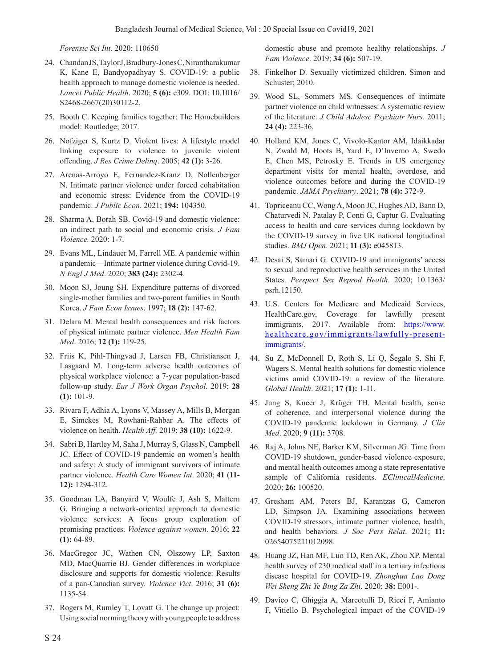*Forensic Sci Int*. 2020: 110650

- 24. Chandan JS, Taylor J, Bradbury-Jones C, Nirantharakumar K, Kane E, Bandyopadhyay S. COVID-19: a public health approach to manage domestic violence is needed. *Lancet Public Health*. 2020; **5 (6):** e309. DOI: 10.1016/ S2468-2667(20)30112-2.
- 25. Booth C. Keeping families together: The Homebuilders model: Routledge; 2017.
- 26. Nofziger S, Kurtz D. Violent lives: A lifestyle model linking exposure to violence to juvenile violent offending. *J Res Crime Delinq*. 2005; **42 (1):** 3-26.
- 27. Arenas-Arroyo E, Fernandez-Kranz D, Nollenberger N. Intimate partner violence under forced cohabitation and economic stress: Evidence from the COVID-19 pandemic. *J Public Econ*. 2021; **194:** 104350.
- 28. Sharma A, Borah SB. Covid-19 and domestic violence: an indirect path to social and economic crisis. *J Fam Violence.* 2020: 1-7.
- 29. Evans ML, Lindauer M, Farrell ME. A pandemic within a pandemic—Intimate partner violence during Covid-19. *N Engl J Med*. 2020; **383 (24):** 2302-4.
- 30. Moon SJ, Joung SH. Expenditure patterns of divorced single-mother families and two-parent families in South Korea. *J Fam Econ Issues*. 1997; **18 (2):** 147-62.
- 31. Delara M. Mental health consequences and risk factors of physical intimate partner violence. *Men Health Fam Med*. 2016; **12 (1):** 119-25.
- 32. Friis K, Pihl-Thingvad J, Larsen FB, Christiansen J, Lasgaard M. Long-term adverse health outcomes of physical workplace violence: a 7-year population-based follow-up study. *Eur J Work Organ Psychol.* 2019; **28 (1):** 101-9.
- 33. Rivara F, Adhia A, Lyons V, Massey A, Mills B, Morgan E, Simckes M, Rowhani-Rahbar A. The effects of violence on health. *Health Aff.* 2019; **38 (10):** 1622-9.
- 34. Sabri B, Hartley M, Saha J, Murray S, Glass N, Campbell JC. Effect of COVID-19 pandemic on women's health and safety: A study of immigrant survivors of intimate partner violence. *Health Care Women Int*. 2020; **41 (11- 12):** 1294-312.
- 35. Goodman LA, Banyard V, Woulfe J, Ash S, Mattern G. Bringing a network-oriented approach to domestic violence services: A focus group exploration of promising practices. *Violence against women*. 2016; **22 (1):** 64-89.
- 36. MacGregor JC, Wathen CN, Olszowy LP, Saxton MD, MacQuarrie BJ. Gender differences in workplace disclosure and supports for domestic violence: Results of a pan-Canadian survey. *Violence Vict*. 2016; **31 (6):** 1135-54.
- 37. Rogers M, Rumley T, Lovatt G. The change up project: Using social norming theory with young people to address

domestic abuse and promote healthy relationships. *J Fam Violence*. 2019; **34 (6):** 507-19.

- 38. Finkelhor D. Sexually victimized children. Simon and Schuster; 2010.
- 39. Wood SL, Sommers MS. Consequences of intimate partner violence on child witnesses: A systematic review of the literature. *J Child Adolesc Psychiatr Nurs*. 2011; **24 (4):** 223-36.
- 40. Holland KM, Jones C, Vivolo-Kantor AM, Idaikkadar N, Zwald M, Hoots B, Yard E, D'Inverno A, Swedo E, Chen MS, Petrosky E. Trends in US emergency department visits for mental health, overdose, and violence outcomes before and during the COVID-19 pandemic. *JAMA Psychiatry*. 2021; **78 (4):** 372-9.
- 41. Topriceanu CC, Wong A, Moon JC, Hughes AD, Bann D, Chaturvedi N, Patalay P, Conti G, Captur G. Evaluating access to health and care services during lockdown by the COVID-19 survey in five UK national longitudinal studies. *BMJ Open*. 2021; **11 (3):** e045813.
- 42. Desai S, Samari G. COVID‐19 and immigrants' access to sexual and reproductive health services in the United States. *Perspect Sex Reprod Health*. 2020; 10.1363/ psrh.12150.
- 43. U.S. Centers for Medicare and Medicaid Services, HealthCare.gov, Coverage for lawfully present immigrants, 2017. Available from: https://www. healthcare.gov/immigrants/lawfully-presentimmigrants/.
- 44. Su Z, McDonnell D, Roth S, Li Q, Šegalo S, Shi F, Wagers S. Mental health solutions for domestic violence victims amid COVID-19: a review of the literature. *Global Health*. 2021; **17 (1):** 1-11.
- 45. Jung S, Kneer J, Krüger TH. Mental health, sense of coherence, and interpersonal violence during the COVID-19 pandemic lockdown in Germany. *J Clin Med*. 2020; **9 (11):** 3708.
- 46. Raj A, Johns NE, Barker KM, Silverman JG. Time from COVID-19 shutdown, gender-based violence exposure, and mental health outcomes among a state representative sample of California residents. *EClinicalMedicine*. 2020; **26:** 100520.
- 47. Gresham AM, Peters BJ, Karantzas G, Cameron LD, Simpson JA. Examining associations between COVID-19 stressors, intimate partner violence, health, and health behaviors. *J Soc Pers Relat*. 2021; **11:** 02654075211012098.
- 48. Huang JZ, Han MF, Luo TD, Ren AK, Zhou XP. Mental health survey of 230 medical staff in a tertiary infectious disease hospital for COVID-19. *Zhonghua Lao Dong Wei Sheng Zhi Ye Bing Za Zhi*. 2020; **38:** E001-.
- 49. Davico C, Ghiggia A, Marcotulli D, Ricci F, Amianto F, Vitiello B. Psychological impact of the COVID-19